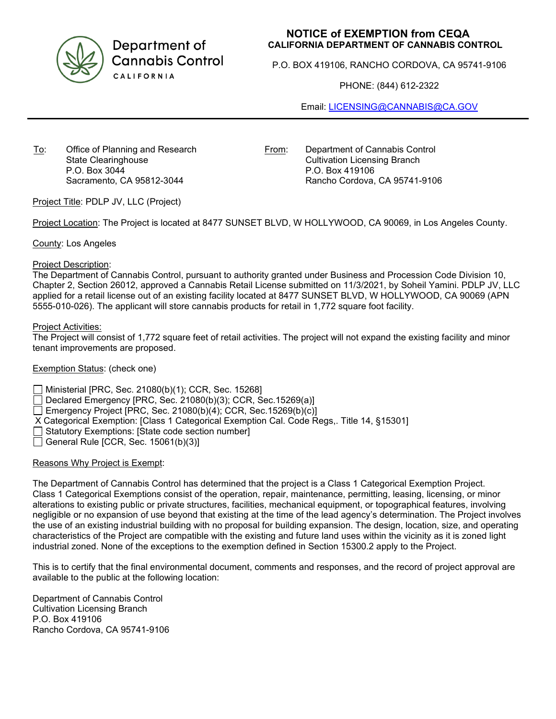

Department of **Cannabis Control** CALIFORNIA

# **NOTICE of EXEMPTION from CEQA CALIFORNIA DEPARTMENT OF CANNABIS CONTROL**

P.O. BOX 419106, RANCHO CORDOVA, CA 95741-9106

PHONE: (844) 612-2322

Email: [LICENSING@CANNABIS@CA.GOV](mailto:LICENSING@CANNABIS@CA.GOV)

To: Office of Planning and Research State Clearinghouse P.O. Box 3044 Sacramento, CA 95812-3044

From: Department of Cannabis Control Cultivation Licensing Branch P.O. Box 419106 Rancho Cordova, CA 95741-9106

Project Title: PDLP JV, LLC (Project)

Project Location: The Project is located at 8477 SUNSET BLVD, W HOLLYWOOD, CA 90069, in Los Angeles County.

County: Los Angeles

#### Project Description:

The Department of Cannabis Control, pursuant to authority granted under Business and Procession Code Division 10, Chapter 2, Section 26012, approved a Cannabis Retail License submitted on 11/3/2021, by Soheil Yamini. PDLP JV, LLC applied for a retail license out of an existing facility located at 8477 SUNSET BLVD, W HOLLYWOOD, CA 90069 (APN 5555-010-026). The applicant will store cannabis products for retail in 1,772 square foot facility.

#### Project Activities:

The Project will consist of 1,772 square feet of retail activities. The project will not expand the existing facility and minor tenant improvements are proposed.

### Exemption Status: (check one)

Ministerial [PRC, Sec. 21080(b)(1); CCR, Sec. 15268]

Declared Emergency [PRC, Sec. 21080(b)(3); CCR, Sec.15269(a)]

Emergency Project [PRC, Sec. 21080(b)(4); CCR, Sec.15269(b)(c)]

- X Categorical Exemption: [Class 1 Categorical Exemption Cal. Code Regs,. Title 14, §15301]
- $\Box$  Statutory Exemptions: [State code section number]
- General Rule [CCR, Sec.  $15061(b)(3)$ ]

### Reasons Why Project is Exempt:

The Department of Cannabis Control has determined that the project is a Class 1 Categorical Exemption Project. Class 1 Categorical Exemptions consist of the operation, repair, maintenance, permitting, leasing, licensing, or minor alterations to existing public or private structures, facilities, mechanical equipment, or topographical features, involving negligible or no expansion of use beyond that existing at the time of the lead agency's determination. The Project involves the use of an existing industrial building with no proposal for building expansion. The design, location, size, and operating characteristics of the Project are compatible with the existing and future land uses within the vicinity as it is zoned light industrial zoned. None of the exceptions to the exemption defined in Section 15300.2 apply to the Project.

This is to certify that the final environmental document, comments and responses, and the record of project approval are available to the public at the following location:

Department of Cannabis Control Cultivation Licensing Branch P.O. Box 419106 Rancho Cordova, CA 95741-9106